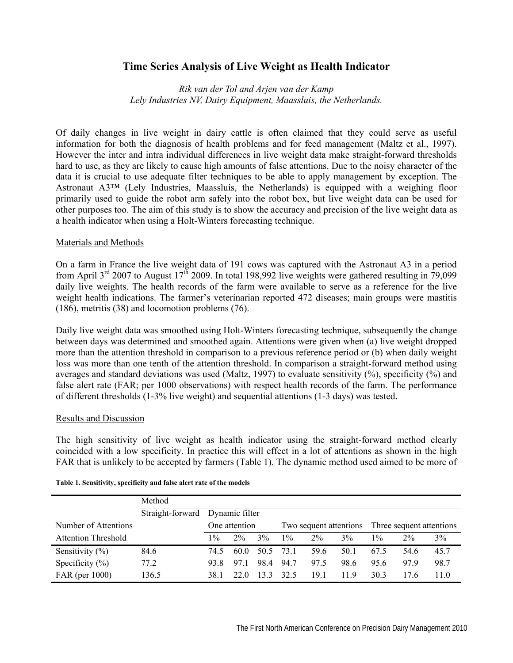# **Time Series Analysis of Live Weight as Health Indicator**

*Rik van der Tol and Arjen van der Kamp Lely Industries NV, Dairy Equipment, Maassluis, the Netherlands.* 

Of daily changes in live weight in dairy cattle is often claimed that they could serve as useful information for both the diagnosis of health problems and for feed management (Maltz et al., 1997). However the inter and intra individual differences in live weight data make straight-forward thresholds hard to use, as they are likely to cause high amounts of false attentions. Due to the noisy character of the data it is crucial to use adequate filter techniques to be able to apply management by exception. The Astronaut A3™ (Lely Industries, Maassluis, the Netherlands) is equipped with a weighing floor primarily used to guide the robot arm safely into the robot box, but live weight data can be used for other purposes too. The aim of this study is to show the accuracy and precision of the live weight data as a health indicator when using a Holt-Winters forecasting technique.

# Materials and Methods

On a farm in France the live weight data of 191 cows was captured with the Astronaut A3 in a period from April  $3<sup>rd</sup>$  2007 to August  $17<sup>th</sup>$  2009. In total 198,992 live weights were gathered resulting in 79,099 daily live weights. The health records of the farm were available to serve as a reference for the live weight health indications. The farmer's veterinarian reported 472 diseases; main groups were mastitis (186), metritis (38) and locomotion problems (76).

Daily live weight data was smoothed using Holt-Winters forecasting technique, subsequently the change between days was determined and smoothed again. Attentions were given when (a) live weight dropped more than the attention threshold in comparison to a previous reference period or (b) when daily weight loss was more than one tenth of the attention threshold. In comparison a straight-forward method using averages and standard deviations was used (Maltz, 1997) to evaluate sensitivity (%), specificity (%) and false alert rate (FAR; per 1000 observations) with respect health records of the farm. The performance of different thresholds (1-3% live weight) and sequential attentions (1-3 days) was tested.

# Results and Discussion

The high sensitivity of live weight as health indicator using the straight-forward method clearly coincided with a low specificity. In practice this will effect in a lot of attentions as shown in the high FAR that is unlikely to be accepted by farmers (Table 1). The dynamic method used aimed to be more of

|                            | Method           |                |       |      |                        |       |      |                          |       |       |
|----------------------------|------------------|----------------|-------|------|------------------------|-------|------|--------------------------|-------|-------|
|                            | Straight-forward | Dynamic filter |       |      |                        |       |      |                          |       |       |
| Number of Attentions       |                  | One attention  |       |      | Two sequent attentions |       |      | Three sequent attentions |       |       |
| <b>Attention Threshold</b> |                  | $1\%$          | $2\%$ | 3%   | $1\%$                  | $2\%$ | 3%   | $1\%$                    | $2\%$ | $3\%$ |
| Sensitivity $(\% )$        | 84.6             | 74.5           | 60.0  | 50.5 | 73.1                   | 59.6  | 50.1 | 67.5                     | 54.6  | 45.7  |
| Specificity $(\%)$         | 77.2             | 93.8           | 971   | 984  | 94.7                   | 97.5  | 98.6 | 95.6                     | 979   | 98.7  |
| FAR (per 1000)             | 136.5            | 38.1           | 22.O  | 133  | 32.5                   | 191   | 119  | 30.3                     | 17.6  | 11.0  |

### **Table 1. Sensitivity, specificity and false alert rate of the models**